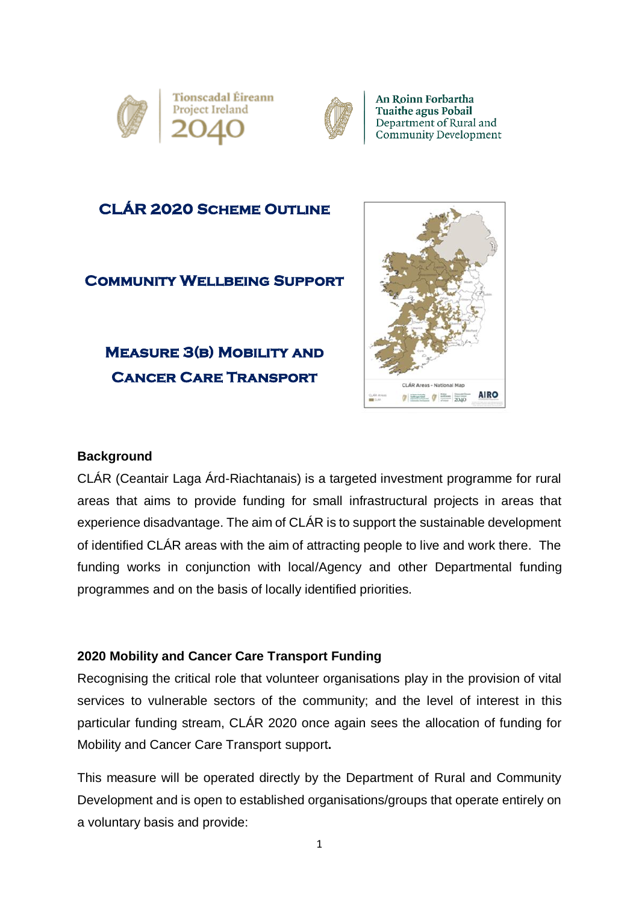



An Roinn Forbartha **Tuaithe agus Pobail** Department of Rural and Community Development

## **CLÁR 2020 Scheme Outline**

### **COMMUNITY WELLBEING SUPPORT**

## **Measure 3(b) Mobility and Cancer Care Transport**



#### **Background**

CLÁR (Ceantair Laga Árd-Riachtanais) is a targeted investment programme for rural areas that aims to provide funding for small infrastructural projects in areas that experience disadvantage. The aim of CLÁR is to support the sustainable development of identified CLÁR areas with the aim of attracting people to live and work there. The funding works in conjunction with local/Agency and other Departmental funding programmes and on the basis of locally identified priorities.

#### **2020 Mobility and Cancer Care Transport Funding**

Recognising the critical role that volunteer organisations play in the provision of vital services to vulnerable sectors of the community; and the level of interest in this particular funding stream, CLÁR 2020 once again sees the allocation of funding for Mobility and Cancer Care Transport support**.**

This measure will be operated directly by the Department of Rural and Community Development and is open to established organisations/groups that operate entirely on a voluntary basis and provide: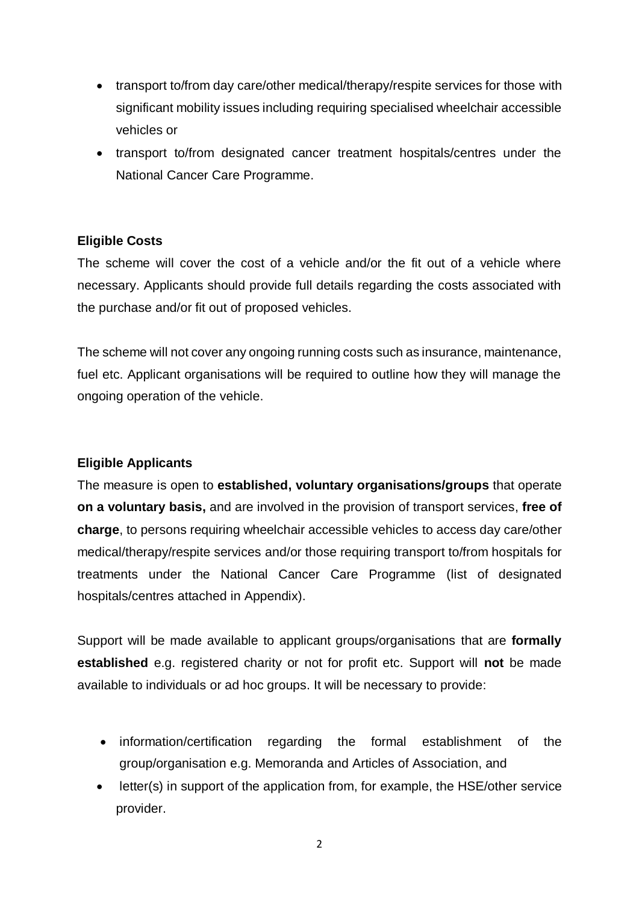- transport to/from day care/other medical/therapy/respite services for those with significant mobility issues including requiring specialised wheelchair accessible vehicles or
- transport to/from designated cancer treatment hospitals/centres under the National Cancer Care Programme.

#### **Eligible Costs**

The scheme will cover the cost of a vehicle and/or the fit out of a vehicle where necessary. Applicants should provide full details regarding the costs associated with the purchase and/or fit out of proposed vehicles.

The scheme will not cover any ongoing running costs such as insurance, maintenance, fuel etc. Applicant organisations will be required to outline how they will manage the ongoing operation of the vehicle.

#### **Eligible Applicants**

The measure is open to **established, voluntary organisations/groups** that operate **on a voluntary basis,** and are involved in the provision of transport services, **free of charge**, to persons requiring wheelchair accessible vehicles to access day care/other medical/therapy/respite services and/or those requiring transport to/from hospitals for treatments under the National Cancer Care Programme (list of designated hospitals/centres attached in Appendix).

Support will be made available to applicant groups/organisations that are **formally established** e.g. registered charity or not for profit etc. Support will **not** be made available to individuals or ad hoc groups. It will be necessary to provide:

- information/certification regarding the formal establishment of the group/organisation e.g. Memoranda and Articles of Association, and
- letter(s) in support of the application from, for example, the HSE/other service provider.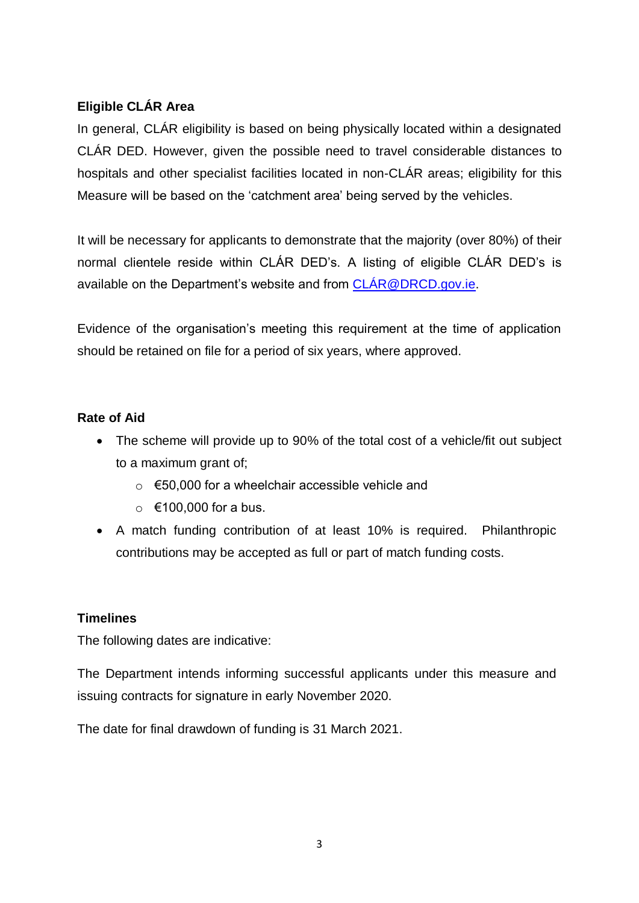#### **Eligible CLÁR Area**

In general, CLÁR eligibility is based on being physically located within a designated CLÁR DED. However, given the possible need to travel considerable distances to hospitals and other specialist facilities located in non-CLÁR areas; eligibility for this Measure will be based on the 'catchment area' being served by the vehicles.

It will be necessary for applicants to demonstrate that the majority (over 80%) of their normal clientele reside within CLÁR DED's. A listing of eligible CLÁR DED's is available on the Department's website and from [CLÁR@DRCD.gov.ie.](mailto:CLÁR@DRCD.gov.ie)

Evidence of the organisation's meeting this requirement at the time of application should be retained on file for a period of six years, where approved.

#### **Rate of Aid**

- The scheme will provide up to 90% of the total cost of a vehicle/fit out subject to a maximum grant of;
	- $\circ$  €50,000 for a wheelchair accessible vehicle and
	- $\circ$  €100,000 for a bus.
- A match funding contribution of at least 10% is required. Philanthropic contributions may be accepted as full or part of match funding costs.

#### **Timelines**

The following dates are indicative:

The Department intends informing successful applicants under this measure and issuing contracts for signature in early November 2020.

The date for final drawdown of funding is 31 March 2021.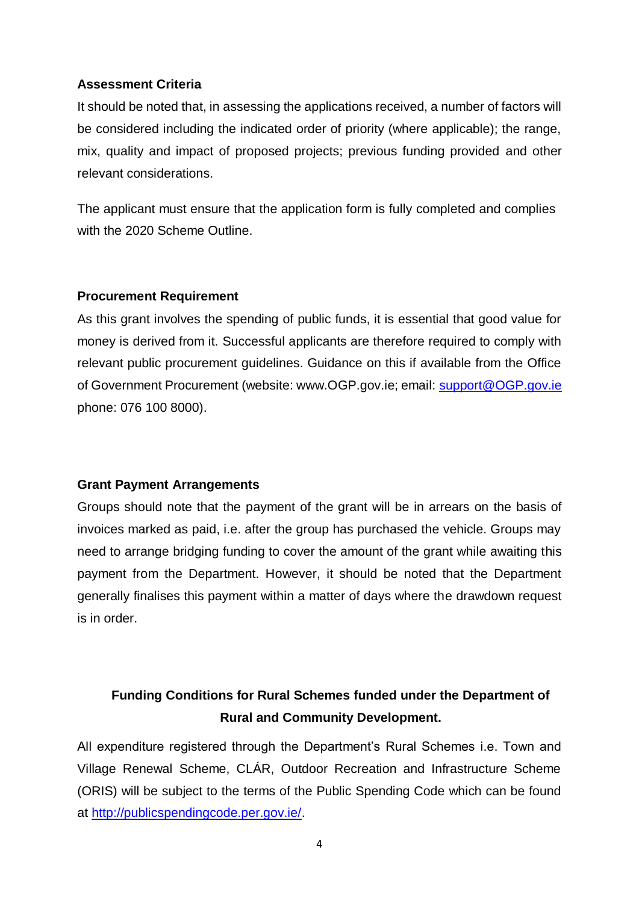#### **Assessment Criteria**

It should be noted that, in assessing the applications received, a number of factors will be considered including the indicated order of priority (where applicable); the range, mix, quality and impact of proposed projects; previous funding provided and other relevant considerations.

The applicant must ensure that the application form is fully completed and complies with the 2020 Scheme Outline.

#### **Procurement Requirement**

As this grant involves the spending of public funds, it is essential that good value for money is derived from it. Successful applicants are therefore required to comply with relevant public procurement guidelines. Guidance on this if available from the Office of Government Procurement (website: www.OGP.gov.ie; email: [support@OGP.gov.ie](mailto:support@OGP.gov.ie) phone: 076 100 8000).

#### **Grant Payment Arrangements**

Groups should note that the payment of the grant will be in arrears on the basis of invoices marked as paid, i.e. after the group has purchased the vehicle. Groups may need to arrange bridging funding to cover the amount of the grant while awaiting this payment from the Department. However, it should be noted that the Department generally finalises this payment within a matter of days where the drawdown request is in order.

## **Funding Conditions for Rural Schemes funded under the Department of Rural and Community Development.**

All expenditure registered through the Department's Rural Schemes i.e. Town and Village Renewal Scheme, CLÁR, Outdoor Recreation and Infrastructure Scheme (ORIS) will be subject to the terms of the Public Spending Code which can be found at [http://publicspendingcode.per.gov.ie/.](http://publicspendingcode.per.gov.ie/)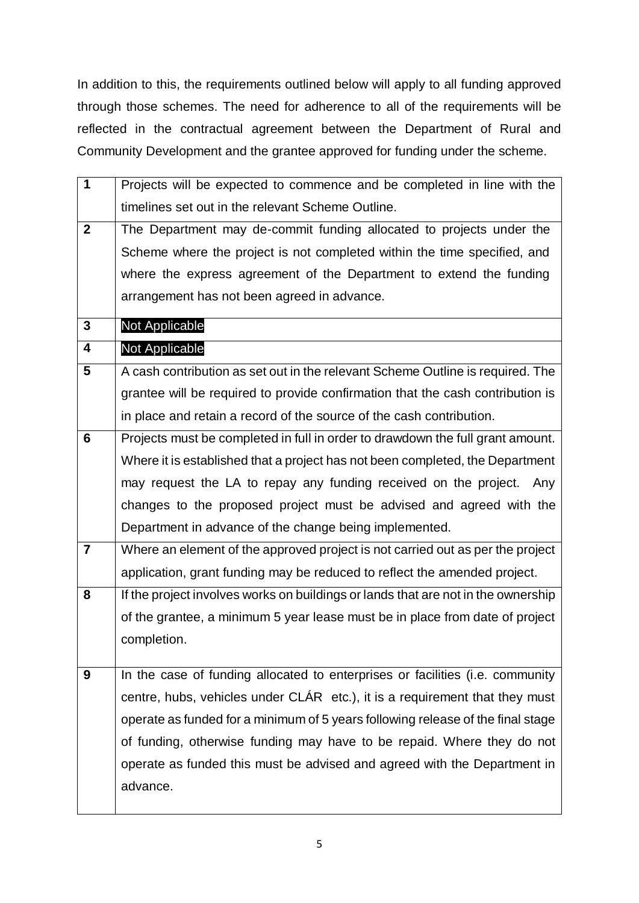In addition to this, the requirements outlined below will apply to all funding approved through those schemes. The need for adherence to all of the requirements will be reflected in the contractual agreement between the Department of Rural and Community Development and the grantee approved for funding under the scheme.

| $\overline{1}$   | Projects will be expected to commence and be completed in line with the           |
|------------------|-----------------------------------------------------------------------------------|
|                  | timelines set out in the relevant Scheme Outline.                                 |
| $\boldsymbol{2}$ | The Department may de-commit funding allocated to projects under the              |
|                  | Scheme where the project is not completed within the time specified, and          |
|                  | where the express agreement of the Department to extend the funding               |
|                  | arrangement has not been agreed in advance.                                       |
| 3                | <b>Not Applicable</b>                                                             |
| 4                | Not Applicable                                                                    |
| 5                | A cash contribution as set out in the relevant Scheme Outline is required. The    |
|                  | grantee will be required to provide confirmation that the cash contribution is    |
|                  | in place and retain a record of the source of the cash contribution.              |
| $6\phantom{1}6$  | Projects must be completed in full in order to drawdown the full grant amount.    |
|                  | Where it is established that a project has not been completed, the Department     |
|                  | may request the LA to repay any funding received on the project. Any              |
|                  | changes to the proposed project must be advised and agreed with the               |
|                  | Department in advance of the change being implemented.                            |
| $\overline{7}$   | Where an element of the approved project is not carried out as per the project    |
|                  | application, grant funding may be reduced to reflect the amended project.         |
| 8                | If the project involves works on buildings or lands that are not in the ownership |
|                  | of the grantee, a minimum 5 year lease must be in place from date of project      |
|                  | completion.                                                                       |
| 9                | In the case of funding allocated to enterprises or facilities (i.e. community     |
|                  | centre, hubs, vehicles under CLÁR etc.), it is a requirement that they must       |
|                  | operate as funded for a minimum of 5 years following release of the final stage   |
|                  |                                                                                   |
|                  | of funding, otherwise funding may have to be repaid. Where they do not            |
|                  | operate as funded this must be advised and agreed with the Department in          |
|                  | advance.                                                                          |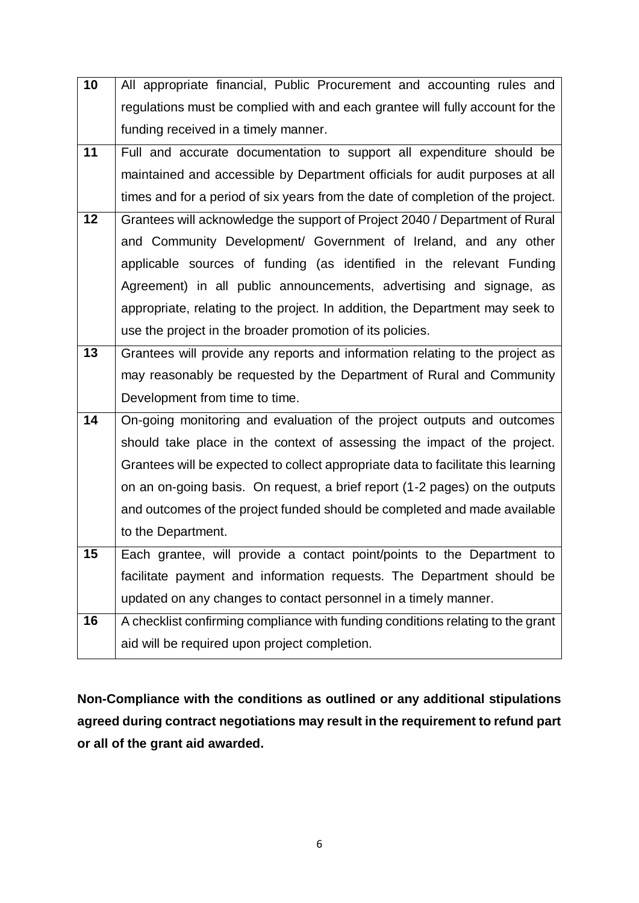| 10 | All appropriate financial, Public Procurement and accounting rules and            |
|----|-----------------------------------------------------------------------------------|
|    | regulations must be complied with and each grantee will fully account for the     |
|    | funding received in a timely manner.                                              |
| 11 | Full and accurate documentation to support all expenditure should be              |
|    | maintained and accessible by Department officials for audit purposes at all       |
|    |                                                                                   |
|    | times and for a period of six years from the date of completion of the project.   |
| 12 | Grantees will acknowledge the support of Project 2040 / Department of Rural       |
|    | and Community Development/ Government of Ireland, and any other                   |
|    | applicable sources of funding (as identified in the relevant Funding              |
|    | Agreement) in all public announcements, advertising and signage, as               |
|    | appropriate, relating to the project. In addition, the Department may seek to     |
|    | use the project in the broader promotion of its policies.                         |
| 13 | Grantees will provide any reports and information relating to the project as      |
|    | may reasonably be requested by the Department of Rural and Community              |
|    | Development from time to time.                                                    |
| 14 | On-going monitoring and evaluation of the project outputs and outcomes            |
|    | should take place in the context of assessing the impact of the project.          |
|    | Grantees will be expected to collect appropriate data to facilitate this learning |
|    | on an on-going basis. On request, a brief report (1-2 pages) on the outputs       |
|    | and outcomes of the project funded should be completed and made available         |
|    | to the Department.                                                                |
| 15 | Each grantee, will provide a contact point/points to the Department to            |
|    | facilitate payment and information requests. The Department should be             |
|    | updated on any changes to contact personnel in a timely manner.                   |
| 16 | A checklist confirming compliance with funding conditions relating to the grant   |
|    | aid will be required upon project completion.                                     |
|    |                                                                                   |

**Non-Compliance with the conditions as outlined or any additional stipulations agreed during contract negotiations may result in the requirement to refund part or all of the grant aid awarded.**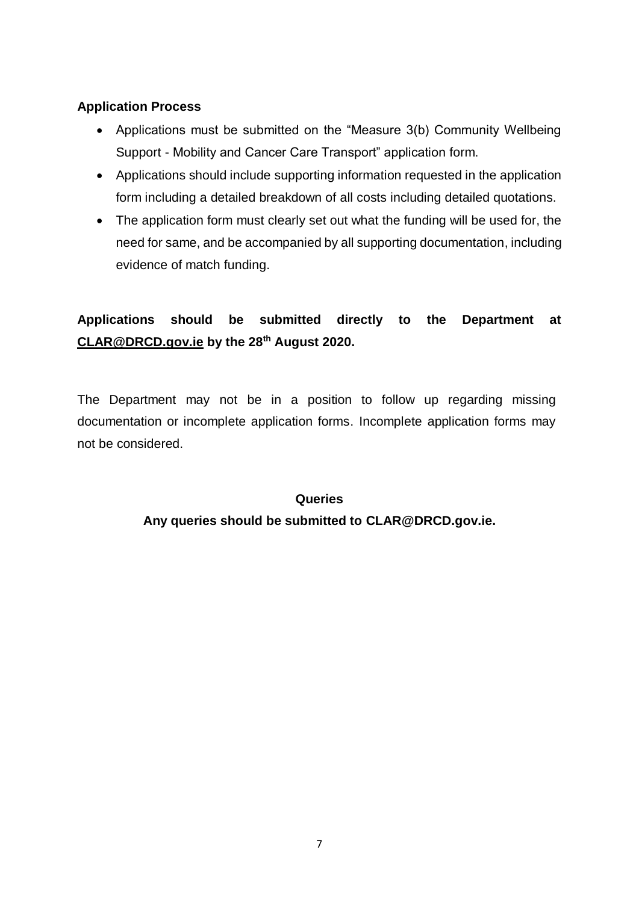#### **Application Process**

- Applications must be submitted on the "Measure 3(b) Community Wellbeing Support - Mobility and Cancer Care Transport" application form.
- Applications should include supporting information requested in the application form including a detailed breakdown of all costs including detailed quotations.
- The application form must clearly set out what the funding will be used for, the need for same, and be accompanied by all supporting documentation, including evidence of match funding.

## **Applications should be submitted directly to the Department at [CLAR@DRCD.gov.ie](mailto:CLAR@DRCD.gov.ie) by the 28th August 2020.**

The Department may not be in a position to follow up regarding missing documentation or incomplete application forms. Incomplete application forms may not be considered.

#### **Queries**

#### **Any queries should be submitted to [CLAR@DRCD.gov.ie.](mailto:CLAR@DRCD.gov.ie)**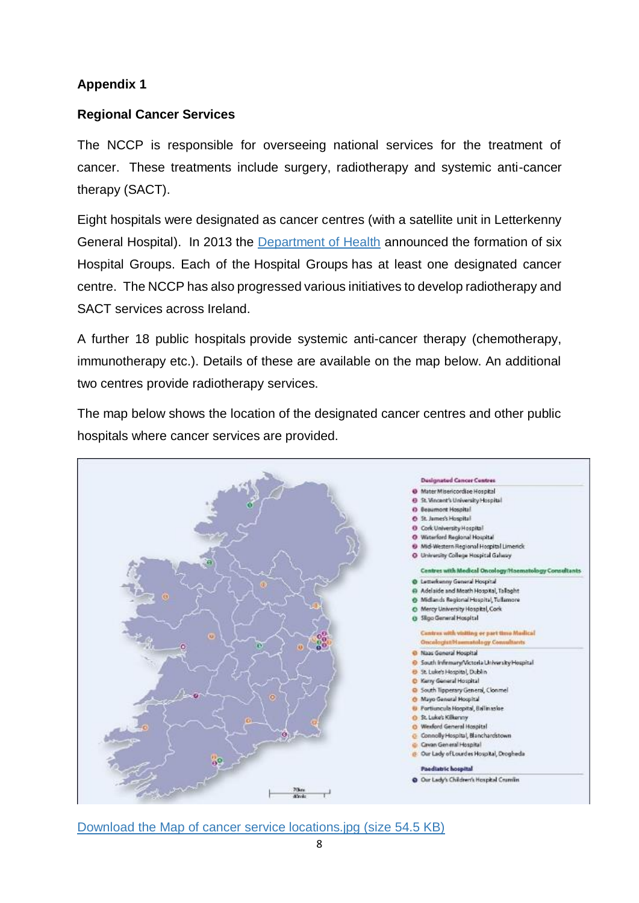#### **Appendix 1**

#### **Regional Cancer Services**

The NCCP is responsible for overseeing national services for the treatment of cancer. These treatments include surgery, radiotherapy and systemic anti-cancer therapy (SACT).

Eight hospitals were designated as cancer centres (with a satellite unit in Letterkenny General Hospital). In 2013 the [Department of Health](http://health.gov.ie/blog/publications/the-establishment-of-hospital-groups-as-a-transition-to-independent-hospital-trusts/) announced the formation of six Hospital Groups. Each of the Hospital Groups has at least one designated cancer centre. The NCCP has also progressed various initiatives to develop radiotherapy and SACT services across Ireland.

A further 18 public hospitals provide systemic anti-cancer therapy (chemotherapy, immunotherapy etc.). Details of these are available on the map below. An additional two centres provide radiotherapy services.

The map below shows the location of the designated cancer centres and other public hospitals where cancer services are provided.



[Download the Map of cancer service locations.jpg \(size 54.5 KB\)](https://www.hse.ie/eng/services/list/5/cancer/about/services/map.jpg)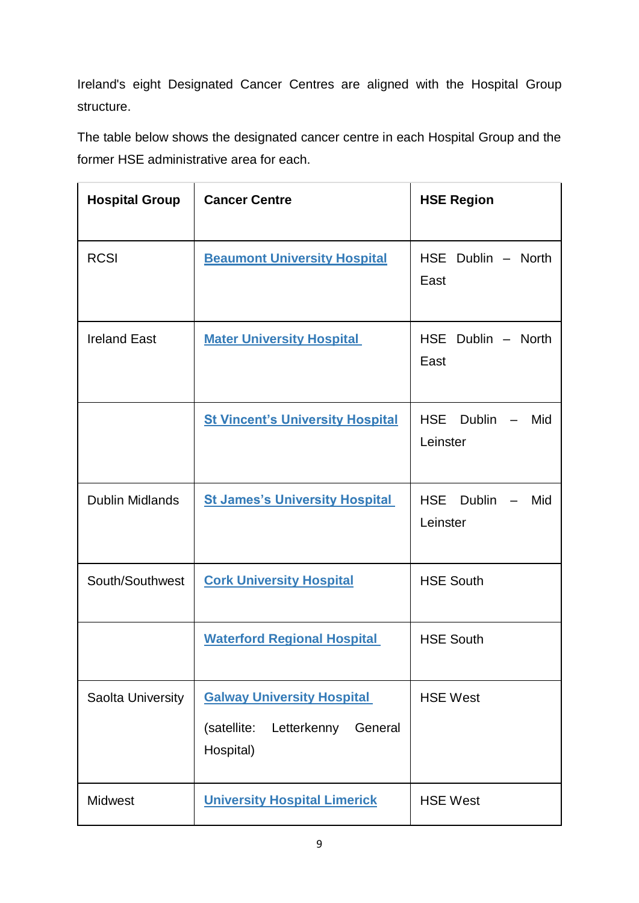Ireland's eight Designated Cancer Centres are aligned with the Hospital Group structure.

The table below shows the designated cancer centre in each Hospital Group and the former HSE administrative area for each.

| <b>Hospital Group</b>  | <b>Cancer Centre</b>                                                                    | <b>HSE Region</b>                              |
|------------------------|-----------------------------------------------------------------------------------------|------------------------------------------------|
| <b>RCSI</b>            | <b>Beaumont University Hospital</b>                                                     | HSE Dublin - North<br>East                     |
| <b>Ireland East</b>    | <b>Mater University Hospital</b>                                                        | HSE Dublin - North<br>East                     |
|                        | <b>St Vincent's University Hospital</b>                                                 | <b>HSE</b><br>Dublin<br>Mid<br>Leinster        |
| <b>Dublin Midlands</b> | <b>St James's University Hospital</b>                                                   | <b>HSE</b><br><b>Dublin</b><br>Mid<br>Leinster |
| South/Southwest        | <b>Cork University Hospital</b>                                                         | <b>HSE South</b>                               |
|                        | <b>Waterford Regional Hospital</b>                                                      | <b>HSE South</b>                               |
| Saolta University      | <b>Galway University Hospital</b><br>(satellite:<br>Letterkenny<br>General<br>Hospital) | <b>HSE West</b>                                |
| <b>Midwest</b>         | <b>University Hospital Limerick</b>                                                     | <b>HSE West</b>                                |